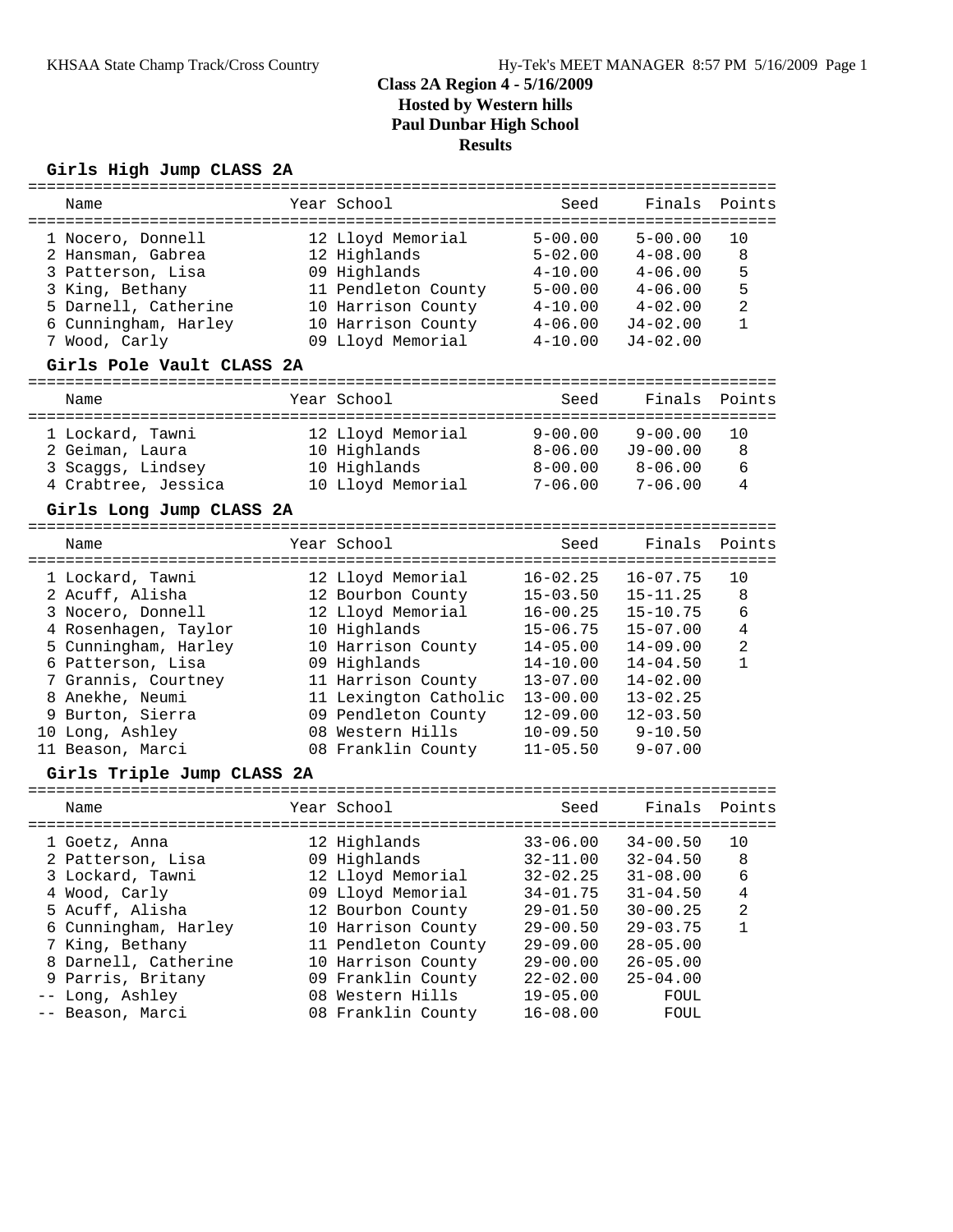#### **Girls High Jump CLASS 2A**

|  | Name                       |  | Year School           | Seed         | Finals       | Points         |  |  |  |  |
|--|----------------------------|--|-----------------------|--------------|--------------|----------------|--|--|--|--|
|  |                            |  |                       |              |              |                |  |  |  |  |
|  | 1 Nocero, Donnell          |  | 12 Lloyd Memorial     | $5 - 00.00$  | $5 - 00.00$  | 10             |  |  |  |  |
|  | 2 Hansman, Gabrea          |  | 12 Highlands          | $5 - 02.00$  | $4 - 08.00$  | 8              |  |  |  |  |
|  | 3 Patterson, Lisa          |  | 09 Highlands          | $4 - 10.00$  | $4 - 06.00$  | 5              |  |  |  |  |
|  | 3 King, Bethany            |  | 11 Pendleton County   | $5 - 00.00$  | $4 - 06.00$  | 5              |  |  |  |  |
|  | 5 Darnell, Catherine       |  | 10 Harrison County    | $4 - 10.00$  | $4 - 02.00$  | $\overline{2}$ |  |  |  |  |
|  | 6 Cunningham, Harley       |  | 10 Harrison County    | $4 - 06.00$  | $J4-02.00$   | $\mathbf{1}$   |  |  |  |  |
|  | 7 Wood, Carly              |  | 09 Lloyd Memorial     | $4 - 10.00$  | J4-02.00     |                |  |  |  |  |
|  | Girls Pole Vault CLASS 2A  |  |                       |              |              |                |  |  |  |  |
|  | Name                       |  | Year School           | Seed         | Finals       | Points         |  |  |  |  |
|  |                            |  |                       |              |              |                |  |  |  |  |
|  | 1 Lockard, Tawni           |  | 12 Lloyd Memorial     | $9 - 00.00$  | $9 - 00.00$  | 10             |  |  |  |  |
|  | 2 Geiman, Laura            |  | 10 Highlands          | $8 - 06.00$  | $J9 - 00.00$ | 8              |  |  |  |  |
|  | 3 Scaggs, Lindsey          |  | 10 Highlands          | $8 - 00.00$  | $8 - 06.00$  | 6              |  |  |  |  |
|  | 4 Crabtree, Jessica        |  | 10 Lloyd Memorial     | $7 - 06.00$  | $7 - 06.00$  | 4              |  |  |  |  |
|  | Girls Long Jump CLASS 2A   |  |                       |              |              |                |  |  |  |  |
|  | Name                       |  | Year School           | Seed         | Finals       | Points         |  |  |  |  |
|  | 1 Lockard, Tawni           |  | 12 Lloyd Memorial     | $16 - 02.25$ | $16 - 07.75$ | 10             |  |  |  |  |
|  |                            |  |                       |              |              |                |  |  |  |  |
|  | 2 Acuff, Alisha            |  | 12 Bourbon County     | $15 - 03.50$ | $15 - 11.25$ | 8              |  |  |  |  |
|  | 3 Nocero, Donnell          |  | 12 Lloyd Memorial     | $16 - 00.25$ | $15 - 10.75$ | 6              |  |  |  |  |
|  | 4 Rosenhagen, Taylor       |  | 10 Highlands          | $15 - 06.75$ | $15 - 07.00$ | 4              |  |  |  |  |
|  | 5 Cunningham, Harley       |  | 10 Harrison County    | $14 - 05.00$ | 14-09.00     | $\overline{2}$ |  |  |  |  |
|  | 6 Patterson, Lisa          |  | 09 Highlands          | $14 - 10.00$ | $14 - 04.50$ | $\mathbf{1}$   |  |  |  |  |
|  | 7 Grannis, Courtney        |  | 11 Harrison County    | $13 - 07.00$ | $14 - 02.00$ |                |  |  |  |  |
|  | 8 Anekhe, Neumi            |  | 11 Lexington Catholic | $13 - 00.00$ | $13 - 02.25$ |                |  |  |  |  |
|  | 9 Burton, Sierra           |  | 09 Pendleton County   | $12 - 09.00$ | $12 - 03.50$ |                |  |  |  |  |
|  | 10 Long, Ashley            |  | 08 Western Hills      | $10 - 09.50$ | $9 - 10.50$  |                |  |  |  |  |
|  | 11 Beason, Marci           |  | 08 Franklin County    | $11 - 05.50$ | $9 - 07.00$  |                |  |  |  |  |
|  | Girls Triple Jump CLASS 2A |  |                       |              |              |                |  |  |  |  |
|  | Name                       |  | Year School           | Seed         | Finals       | Points         |  |  |  |  |
|  |                            |  |                       |              |              |                |  |  |  |  |
|  | 1 Goetz, Anna              |  | 12 Highlands          | $33 - 06.00$ | $34 - 00.50$ | 10             |  |  |  |  |
|  | 2 Patterson, Lisa          |  | 09 Highlands          | $32 - 11.00$ | $32 - 04.50$ | 8              |  |  |  |  |
|  | 3 Lockard, Tawni           |  | 12 Lloyd Memorial     | $32 - 02.25$ | $31 - 08.00$ | 6              |  |  |  |  |
|  | 4 Wood, Carly              |  | 09 Lloyd Memorial     | $34 - 01.75$ | $31 - 04.50$ | 4              |  |  |  |  |
|  | 5 Acuff, Alisha            |  | 12 Bourbon County     | $29 - 01.50$ | $30 - 00.25$ | $\overline{2}$ |  |  |  |  |
|  | 6 Cunningham, Harley       |  | 10 Harrison County    | $29 - 00.50$ | 29-03.75     | $\mathbf{1}$   |  |  |  |  |
|  | 7 King, Bethany            |  | 11 Pendleton County   | $29 - 09.00$ | $28 - 05.00$ |                |  |  |  |  |
|  | 8 Darnell, Catherine       |  | 10 Harrison County    | 29-00.00     | $26 - 05.00$ |                |  |  |  |  |
|  |                            |  |                       |              |              |                |  |  |  |  |

 9 Parris, Britany 09 Franklin County 22-02.00 25-04.00 -- Long, Ashley 08 Western Hills 19-05.00 FOUL -- Beason, Marci 08 Franklin County 16-08.00 FOUL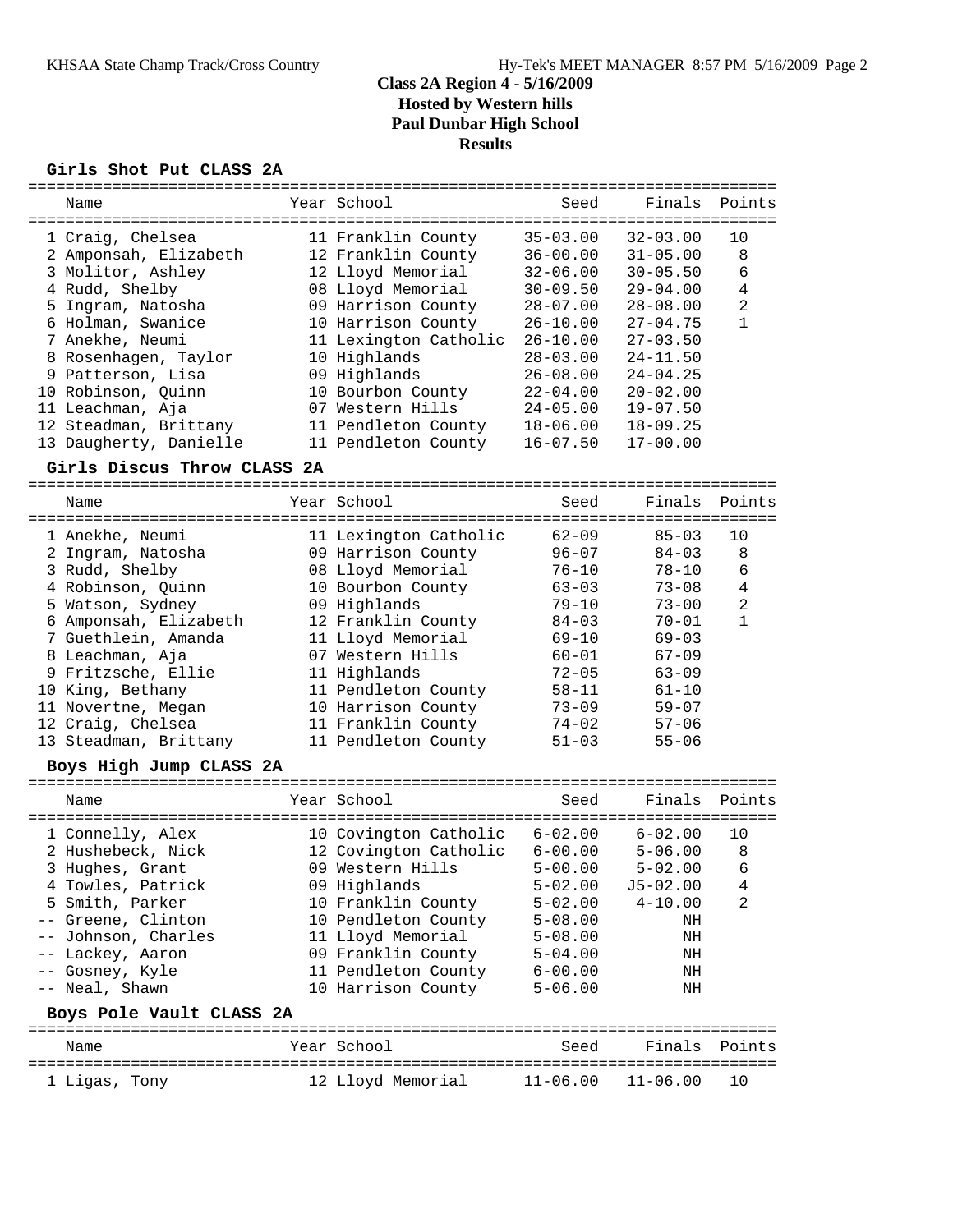### **Girls Shot Put CLASS 2A**

|   | Name                                     | Year School           | Seed         | Finals       | Points         |
|---|------------------------------------------|-----------------------|--------------|--------------|----------------|
|   | ------------------------------------     |                       | -----        |              |                |
|   | 1 Craig, Chelsea                         | 11 Franklin County    | $35 - 03.00$ | $32 - 03.00$ | 10             |
|   | 2 Amponsah, Elizabeth                    | 12 Franklin County    | $36 - 00.00$ | $31 - 05.00$ | 8              |
|   | 3 Molitor, Ashley                        | 12 Lloyd Memorial     | $32 - 06.00$ | $30 - 05.50$ | 6              |
|   | 4 Rudd, Shelby                           | 08 Lloyd Memorial     | $30 - 09.50$ | $29 - 04.00$ | $\overline{4}$ |
|   | 5 Ingram, Natosha                        | 09 Harrison County    | $28 - 07.00$ | $28 - 08.00$ | $\overline{a}$ |
|   |                                          |                       |              |              |                |
|   | 6 Holman, Swanice                        | 10 Harrison County    | $26 - 10.00$ | $27 - 04.75$ | $\mathbf{1}$   |
|   | 7 Anekhe, Neumi                          | 11 Lexington Catholic | $26 - 10.00$ | $27 - 03.50$ |                |
|   | 8 Rosenhagen, Taylor                     | 10 Highlands          | $28 - 03.00$ | $24 - 11.50$ |                |
| 9 | Patterson, Lisa                          | 09 Highlands          | $26 - 08.00$ | $24 - 04.25$ |                |
|   | 10 Robinson, Quinn                       | 10 Bourbon County     | $22 - 04.00$ | $20 - 02.00$ |                |
|   | 11 Leachman, Aja                         | 07 Western Hills      | $24 - 05.00$ | $19 - 07.50$ |                |
|   | 12 Steadman, Brittany                    | 11 Pendleton County   | $18 - 06.00$ | $18 - 09.25$ |                |
|   | 13 Daugherty, Danielle                   | 11 Pendleton County   | $16 - 07.50$ | $17 - 00.00$ |                |
|   | Girls Discus Throw CLASS 2A              |                       |              |              |                |
|   |                                          |                       |              |              |                |
|   | Name                                     | Year School           | Seed         | Finals       | Points         |
|   | =====================<br>1 Anekhe, Neumi | 11 Lexington Catholic | $62 - 09$    | $85 - 03$    | 10             |
|   | 2 Ingram, Natosha                        | 09 Harrison County    | $96 - 07$    | $84 - 03$    | 8              |
|   | 3 Rudd, Shelby                           | 08 Lloyd Memorial     | $76 - 10$    | $78 - 10$    | 6              |
|   |                                          |                       |              |              |                |
|   | 4 Robinson, Quinn                        | 10 Bourbon County     | $63 - 03$    | $73 - 08$    | $\overline{4}$ |
|   | 5 Watson, Sydney                         | 09 Highlands          | $79 - 10$    | $73 - 00$    | $\overline{a}$ |
|   | 6 Amponsah, Elizabeth                    | 12 Franklin County    | $84 - 03$    | $70 - 01$    | 1              |
|   | 7 Guethlein, Amanda                      | 11 Lloyd Memorial     | $69 - 10$    | $69 - 03$    |                |
|   | 8 Leachman, Aja                          | 07 Western Hills      | $60 - 01$    | $67 - 09$    |                |
|   | 9 Fritzsche, Ellie                       | 11 Highlands          | $72 - 05$    | $63 - 09$    |                |
|   | 10 King, Bethany                         | 11 Pendleton County   | $58 - 11$    | $61 - 10$    |                |
|   | 11 Novertne, Megan                       | 10 Harrison County    | $73 - 09$    | $59 - 07$    |                |
|   | 12 Craig, Chelsea                        | 11 Franklin County    | $74 - 02$    | $57 - 06$    |                |
|   |                                          |                       |              |              |                |
|   | 13 Steadman, Brittany                    | 11 Pendleton County   | $51 - 03$    | $55 - 06$    |                |
|   | Boys High Jump CLASS 2A                  |                       |              |              |                |
|   | Name                                     | Year School           | Seed         | Finals       | Points         |
|   | 1 Connelly, Alex                         | 10 Covington Catholic | $6 - 02.00$  | $6 - 02.00$  | 10             |
|   | 2 Hushebeck, Nick                        | 12 Covington Catholic | $6 - 00.00$  | $5 - 06.00$  | 8              |
|   | 3 Hughes, Grant                          | 09 Western Hills      | $5 - 00.00$  | $5 - 02.00$  | 6              |
|   |                                          |                       |              |              |                |
|   | 4 Towles, Patrick                        | 09 Highlands          | $5 - 02.00$  | $J5 - 02.00$ | 4              |
|   | 5 Smith, Parker                          | 10 Franklin County    | $5 - 02.00$  | $4 - 10.00$  | 2              |
|   | -- Greene, Clinton                       | 10 Pendleton County   | $5 - 08.00$  | ΝH           |                |
|   | -- Johnson, Charles                      | 11 Lloyd Memorial     | $5 - 08.00$  | ΝH           |                |
|   | -- Lackey, Aaron                         | 09 Franklin County    | $5 - 04.00$  | ΝH           |                |
|   | -- Gosney, Kyle                          | 11 Pendleton County   | $6 - 00.00$  | ΝH           |                |
|   | -- Neal, Shawn                           | 10 Harrison County    | $5 - 06.00$  | ΝH           |                |
|   | Boys Pole Vault CLASS 2A                 |                       |              |              |                |
|   | Name                                     | Year School           | Seed         | Finals       | Points         |
|   | 1 Ligas, Tony                            | 12 Lloyd Memorial     | $11 - 06.00$ | $11 - 06.00$ | 10             |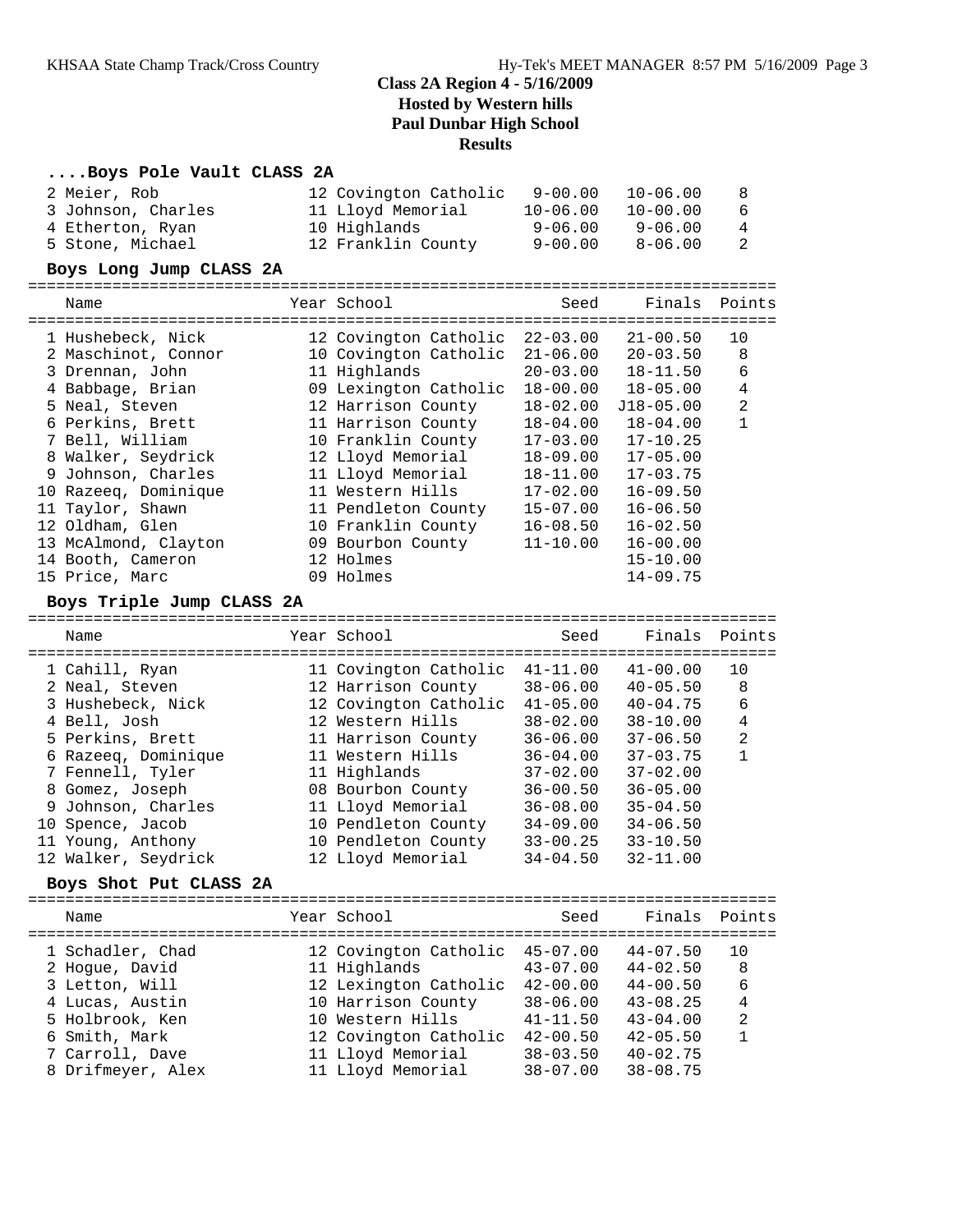#### **....Boys Pole Vault CLASS 2A**

| 2 Meier, Rob<br>3 Johnson, Charles<br>4 Etherton, Ryan<br>5 Stone, Michael                                                                                                                                                                                                                                         | 12 Covington Catholic<br>11 Lloyd Memorial<br>10 Highlands<br>12 Franklin County                                                                                                                                                                                                                                    | $9 - 00.00$<br>$10 - 06.00$<br>$9 - 06.00$<br>$9 - 00.00$                                                                                                                                                    | $10 - 06.00$<br>$10 - 00.00$<br>$9 - 06.00$<br>$8 - 06.00$                                                                                                                                                                                    | 8<br>6<br>4<br>2                                                 |
|--------------------------------------------------------------------------------------------------------------------------------------------------------------------------------------------------------------------------------------------------------------------------------------------------------------------|---------------------------------------------------------------------------------------------------------------------------------------------------------------------------------------------------------------------------------------------------------------------------------------------------------------------|--------------------------------------------------------------------------------------------------------------------------------------------------------------------------------------------------------------|-----------------------------------------------------------------------------------------------------------------------------------------------------------------------------------------------------------------------------------------------|------------------------------------------------------------------|
| Boys Long Jump CLASS 2A                                                                                                                                                                                                                                                                                            |                                                                                                                                                                                                                                                                                                                     |                                                                                                                                                                                                              |                                                                                                                                                                                                                                               |                                                                  |
| Name                                                                                                                                                                                                                                                                                                               | Year School                                                                                                                                                                                                                                                                                                         | Seed                                                                                                                                                                                                         | Finals                                                                                                                                                                                                                                        | Points                                                           |
| 1 Hushebeck, Nick<br>2 Maschinot, Connor<br>3 Drennan, John<br>4 Babbage, Brian<br>5 Neal, Steven<br>6 Perkins, Brett<br>7 Bell, William<br>8 Walker, Seydrick<br>9 Johnson, Charles<br>10 Razeeq, Dominique<br>11 Taylor, Shawn<br>12 Oldham, Glen<br>13 McAlmond, Clayton<br>14 Booth, Cameron<br>15 Price, Marc | 12 Covington Catholic<br>10 Covington Catholic<br>11 Highlands<br>09 Lexington Catholic<br>12 Harrison County<br>11 Harrison County<br>10 Franklin County<br>12 Lloyd Memorial<br>11 Lloyd Memorial<br>11 Western Hills<br>11 Pendleton County<br>10 Franklin County<br>09 Bourbon County<br>12 Holmes<br>09 Holmes | $22 - 03.00$<br>$21 - 06.00$<br>$20 - 03.00$<br>$18 - 00.00$<br>$18 - 02.00$<br>$18 - 04.00$<br>$17 - 03.00$<br>$18 - 09.00$<br>$18 - 11.00$<br>$17 - 02.00$<br>$15 - 07.00$<br>$16 - 08.50$<br>$11 - 10.00$ | $21 - 00.50$<br>$20 - 03.50$<br>$18 - 11.50$<br>$18 - 05.00$<br>$J18 - 05.00$<br>$18 - 04.00$<br>$17 - 10.25$<br>$17 - 05.00$<br>$17 - 03.75$<br>$16 - 09.50$<br>$16 - 06.50$<br>$16 - 02.50$<br>$16 - 00.00$<br>$15 - 10.00$<br>$14 - 09.75$ | 10<br>8<br>6<br>$\overline{4}$<br>$\overline{a}$<br>$\mathbf{1}$ |
| Boys Triple Jump CLASS 2A<br>Name                                                                                                                                                                                                                                                                                  | Year School                                                                                                                                                                                                                                                                                                         | Seed                                                                                                                                                                                                         | Finals                                                                                                                                                                                                                                        | Points                                                           |
| 1 Cahill, Ryan<br>2 Neal, Steven<br>3 Hushebeck, Nick<br>4 Bell, Josh<br>5 Perkins, Brett<br>6 Razeeq, Dominique<br>7 Fennell, Tyler<br>8 Gomez, Joseph<br>9 Johnson, Charles<br>10 Spence, Jacob<br>11 Young, Anthony<br>12 Walker, Seydrick<br>Boys Shot Put CLASS 2A                                            | 11 Covington Catholic<br>12 Harrison County<br>12 Covington Catholic<br>12 Western Hills<br>11 Harrison County<br>11 Western Hills<br>11 Highlands<br>08 Bourbon County<br>11 Lloyd Memorial<br>10 Pendleton County<br>10 Pendleton County<br>12 Lloyd Memorial                                                     | $41 - 11.00$<br>$38 - 06.00$<br>$41 - 05.00$<br>$38 - 02.00$<br>$36 - 06.00$<br>$36 - 04.00$<br>$37 - 02.00$<br>$36 - 00.50$<br>$36 - 08.00$<br>$34 - 09.00$<br>$33 - 00.25$<br>$34 - 04.50$                 | $41 - 00.00$<br>$40 - 05.50$<br>$40 - 04.75$<br>$38 - 10.00$<br>$37 - 06.50$<br>$37 - 03.75$<br>$37 - 02.00$<br>$36 - 05.00$<br>$35 - 04.50$<br>$34 - 06.50$<br>$33 - 10.50$<br>$32 - 11.00$                                                  | 10<br>8<br>6<br>$\overline{4}$<br>$\overline{a}$<br>$\mathbf{1}$ |
| Name                                                                                                                                                                                                                                                                                                               | Year School                                                                                                                                                                                                                                                                                                         | Seed                                                                                                                                                                                                         | Finals                                                                                                                                                                                                                                        | Points                                                           |
| 1 Schadler, Chad<br>2 Hogue, David<br>3 Letton, Will<br>4 Lucas, Austin<br>5 Holbrook, Ken<br>6 Smith, Mark<br>7 Carroll, Dave<br>8 Drifmeyer, Alex                                                                                                                                                                | 12 Covington Catholic<br>11 Highlands<br>12 Lexington Catholic<br>10 Harrison County<br>10 Western Hills<br>12 Covington Catholic<br>11 Lloyd Memorial<br>11 Lloyd Memorial                                                                                                                                         | $45 - 07.00$<br>$43 - 07.00$<br>$42 - 00.00$<br>$38 - 06.00$<br>$41 - 11.50$<br>$42 - 00.50$<br>$38 - 03.50$<br>$38 - 07.00$                                                                                 | $44 - 07.50$<br>$44 - 02.50$<br>$44 - 00.50$<br>$43 - 08.25$<br>$43 - 04.00$<br>$42 - 05.50$<br>$40 - 02.75$<br>$38 - 08.75$                                                                                                                  | 10<br>8<br>6<br>4<br>2<br>$\mathbf{1}$                           |